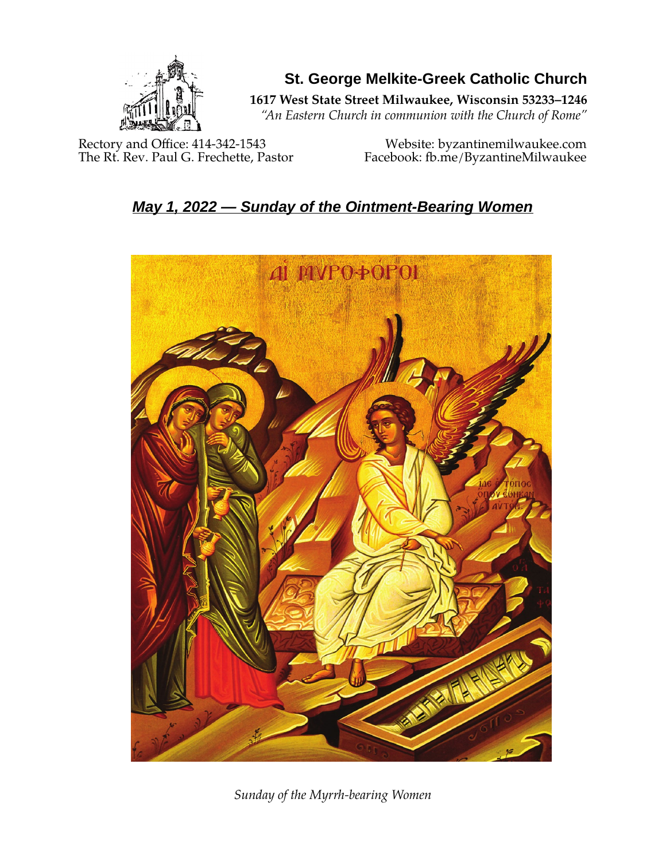

**St. George Melkite-Greek Catholic Church**

**1617 West State Street Milwaukee, Wisconsin 53233–1246**

*"An Eastern Church in communion with the Church of Rome"*

Rectory and Office: 414-342-1543 Website: [byzantinemilwaukee.com](https://byzantinemilwaukee.com/)

The Rt. Rev. Paul G. Frechette, Pastor Facebook: fb.me/ByzantineMilwaukee

# *May 1, 2022 — Sunday of the Ointment-Bearing Women*



*Sunday of the Myrrh-bearing Women*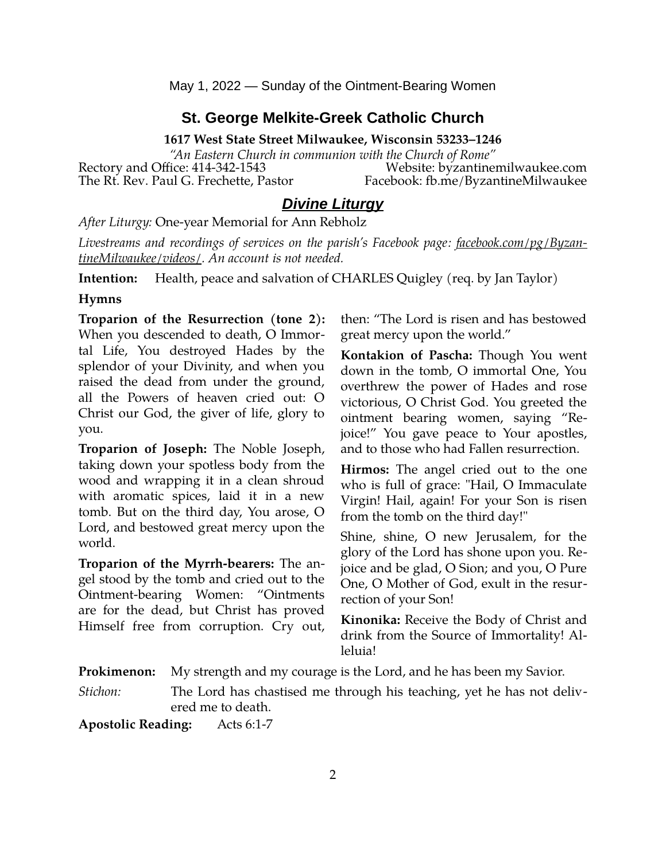May 1, 2022 — Sunday of the Ointment-Bearing Women

## **St. George Melkite-Greek Catholic Church**

**1617 West State Street Milwaukee, Wisconsin 53233–1246**

*"An Eastern Church in communion with the Church of Rome"* Rectory and Office: 414-342-1543 Website: [byzantinemilwaukee.com](https://byzantinemilwaukee.com/) The Rt. Rev. Paul G. Frechette, Pastor Facebook: fb.me/ByzantineMilwaukee

## *Divine Liturgy*

*After Liturgy:* One-year Memorial for Ann Rebholz

*Livestreams and recordings of services on the parish's Facebook page: [facebook.com/pg/Byzan](https://www.facebook.com/pg/ByzantineMilwaukee/videos/)[tineMilwaukee/videos/.](https://www.facebook.com/pg/ByzantineMilwaukee/videos/) An account is not needed.*

**Intention:** Health, peace and salvation of CHARLES Quigley (req. by Jan Taylor)

#### **Hymns**

**Troparion of the Resurrection (tone 2):** When you descended to death, O Immortal Life, You destroyed Hades by the splendor of your Divinity, and when you raised the dead from under the ground, all the Powers of heaven cried out: O Christ our God, the giver of life, glory to you.

**Troparion of Joseph:** The Noble Joseph, taking down your spotless body from the wood and wrapping it in a clean shroud with aromatic spices, laid it in a new tomb. But on the third day, You arose, O Lord, and bestowed great mercy upon the world.

**Troparion of the Myrrh-bearers:** The angel stood by the tomb and cried out to the Ointment-bearing Women: "Ointments are for the dead, but Christ has proved Himself free from corruption. Cry out,

then: "The Lord is risen and has bestowed great mercy upon the world."

**Kontakion of Pascha:** Though You went down in the tomb, O immortal One, You overthrew the power of Hades and rose victorious, O Christ God. You greeted the ointment bearing women, saying "Rejoice!" You gave peace to Your apostles, and to those who had Fallen resurrection.

**Hirmos:** The angel cried out to the one who is full of grace: "Hail, O Immaculate Virgin! Hail, again! For your Son is risen from the tomb on the third day!"

Shine, shine, O new Jerusalem, for the glory of the Lord has shone upon you. Rejoice and be glad, O Sion; and you, O Pure One, O Mother of God, exult in the resurrection of your Son!

**Kinonika:** Receive the Body of Christ and drink from the Source of Immortality! Alleluia!

**Prokimenon:** My strength and my courage is the Lord, and he has been my Savior.

*Stichon:* The Lord has chastised me through his teaching, yet he has not delivered me to death.

**Apostolic Reading:** Acts 6:1-7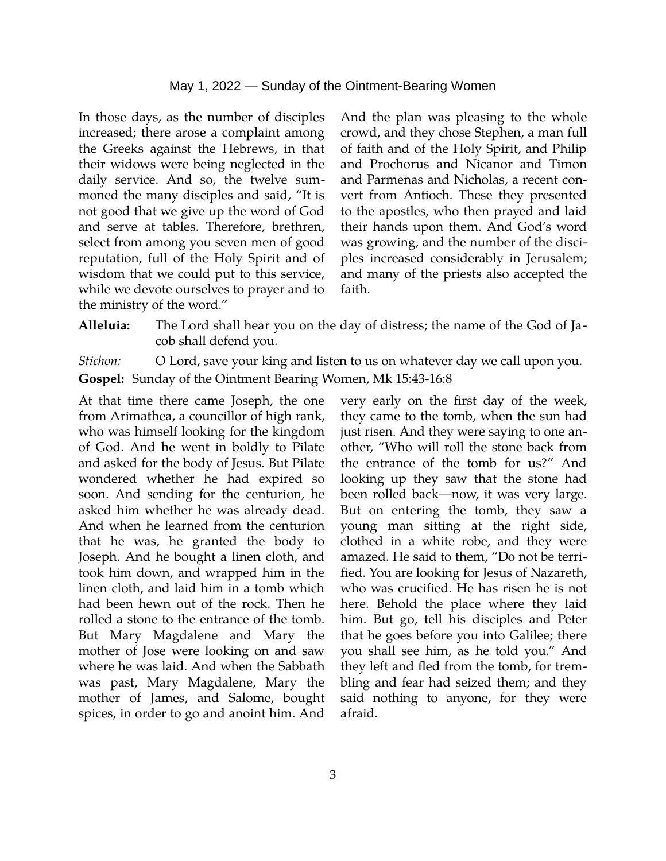In those days, as the number of disciples increased; there arose a complaint among the Greeks against the Hebrews, in that their widows were being neglected in the daily service. And so, the twelve summoned the many disciples and said, "It is not good that we give up the word of God and serve at tables. Therefore, brethren, select from among you seven men of good reputation, full of the Holy Spirit and of wisdom that we could put to this service, while we devote ourselves to prayer and to the ministry of the word."

And the plan was pleasing to the whole crowd, and they chose Stephen, a man full of faith and of the Holy Spirit, and Philip and Prochorus and Nicanor and Timon and Parmenas and Nicholas, a recent convert from Antioch. These they presented to the apostles, who then prayed and laid their hands upon them. And God's word was growing, and the number of the disciples increased considerably in Jerusalem; and many of the priests also accepted the faith.

**Alleluia:** The Lord shall hear you on the day of distress; the name of the God of Jacob shall defend you.

*Stichon:* O Lord, save your king and listen to us on whatever day we call upon you. **Gospel:** Sunday of the Ointment Bearing Women, Mk 15:43-16:8

At that time there came Joseph, the one from Arimathea, a councillor of high rank, who was himself looking for the kingdom of God. And he went in boldly to Pilate and asked for the body of Jesus. But Pilate wondered whether he had expired so soon. And sending for the centurion, he asked him whether he was already dead. And when he learned from the centurion that he was, he granted the body to Joseph. And he bought a linen cloth, and took him down, and wrapped him in the linen cloth, and laid him in a tomb which had been hewn out of the rock. Then he rolled a stone to the entrance of the tomb. But Mary Magdalene and Mary the mother of Jose were looking on and saw where he was laid. And when the Sabbath was past, Mary Magdalene, Mary the mother of James, and Salome, bought spices, in order to go and anoint him. And very early on the first day of the week, they came to the tomb, when the sun had just risen. And they were saying to one another, "Who will roll the stone back from the entrance of the tomb for us?" And looking up they saw that the stone had been rolled back—now, it was very large. But on entering the tomb, they saw a young man sitting at the right side, clothed in a white robe, and they were amazed. He said to them, "Do not be terrified. You are looking for Jesus of Nazareth, who was crucified. He has risen he is not here. Behold the place where they laid him. But go, tell his disciples and Peter that he goes before you into Galilee; there you shall see him, as he told you." And they left and fled from the tomb, for trembling and fear had seized them; and they said nothing to anyone, for they were afraid.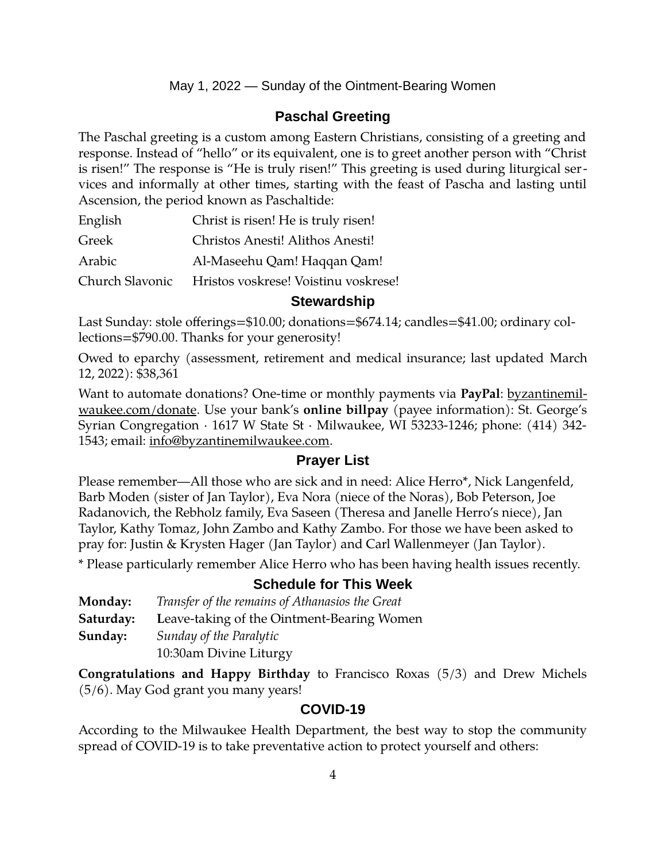### May 1, 2022 — Sunday of the Ointment-Bearing Women

## **Paschal Greeting**

The Paschal greeting is a custom among Eastern Christians, consisting of a greeting and response. Instead of "hello" or its equivalent, one is to greet another person with "Christ is risen!" The response is "He is truly risen!" This greeting is used during liturgical services and informally at other times, starting with the feast of Pascha and lasting until Ascension, the period known as Paschaltide:

| English         | Christ is risen! He is truly risen!  |
|-----------------|--------------------------------------|
| Greek           | Christos Anesti! Alithos Anesti!     |
| Arabic          | Al-Maseehu Qam! Haqqan Qam!          |
| Church Slavonic | Hristos voskrese! Voistinu voskrese! |

#### **Stewardship**

Last Sunday: stole offerings=\$10.00; donations=\$674.14; candles=\$41.00; ordinary collections=\$790.00. Thanks for your generosity!

Owed to eparchy (assessment, retirement and medical insurance; last updated March 12, 2022): \$38,361

Want to automate donations? One-time or monthly payments via **PayPal**: [byzantinemil](https://byzantinemilwaukee.com/donate/)[waukee.com/donate.](https://byzantinemilwaukee.com/donate/) Use your bank's **online billpay** (payee information): St. George's Syrian Congregation · 1617 W State St · Milwaukee, WI 53233-1246; phone: (414) 342- 1543; email: [info@byzantinemilwaukee.com](mailto:info@byzantinemilwaukee.com).

#### **Prayer List**

Please remember—All those who are sick and in need: Alice Herro\*, Nick Langenfeld, Barb Moden (sister of Jan Taylor), Eva Nora (niece of the Noras), Bob Peterson, Joe Radanovich, the Rebholz family, Eva Saseen (Theresa and Janelle Herro's niece), Jan Taylor, Kathy Tomaz, John Zambo and Kathy Zambo. For those we have been asked to pray for: Justin & Krysten Hager (Jan Taylor) and Carl Wallenmeyer (Jan Taylor).

\* Please particularly remember Alice Herro who has been having health issues recently.

#### **Schedule for This Week**

| <b>Monday:</b> | Transfer of the remains of Athanasios the Great |
|----------------|-------------------------------------------------|
| Saturday:      | Leave-taking of the Ointment-Bearing Women      |
| Sunday:        | Sunday of the Paralytic                         |
|                | 10:30am Divine Liturgy                          |

**Congratulations and Happy Birthday** to Francisco Roxas (5/3) and Drew Michels (5/6). May God grant you many years!

#### **[COVID-19](mailto:j1ordan2000@yahoo.com)**

According to the Milwaukee Health Department, the best way to stop the community spread of COVID-19 is to take preventative action to protect yourself and others: